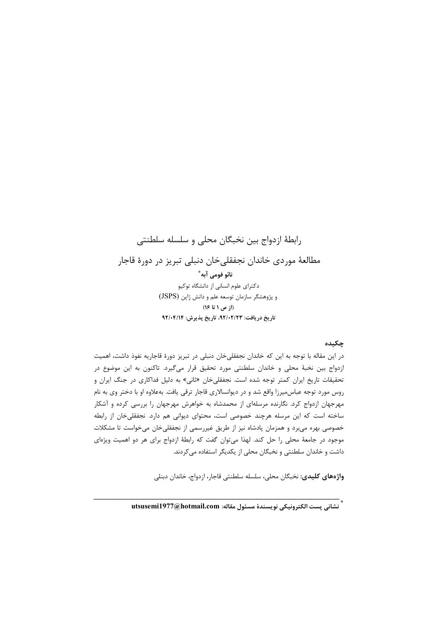رابطهٔ ازدواج بین نخبگان محلی و سلسله سلطنتی مطالعهٔ موردی خاندان نجفقلیخان دنبلی تبریز در دورهٔ قاجار نائو فومي آبه ؓ دکترای علوم انسانی از دانشگاه توکیو و پژوهشگر سازمان توسعه علم و دانش ژاپن (JSPS) (از ص ۱ تا ۱۶) تاريخ دريافت: ٩٢/٠٢/٢٣، تاريخ پذيرش: ٩٢/٠٤/١٤

### جكىدە

در این مقاله با توجه به این که خاندان نجفقلی خان دنبلی در تبریز دورهٔ قاجاریه نفوذ داشت، اهمیت ازدواج بين نخبهٔ محلي و خاندان سلطنتي مورد تحقيق قرار ميگيرد. تاكنون به اين موضوع در تحقیقات تاریخ ایران کمتر توجه شده است. نجفقلی خان «ثانی» به دلیل فداکاری در جنگ ایران و روس مورد توجه عباس،میرزا واقع شد و در دیوانسالاری قاجار ترقی یافت. بهعلاوه او با دختر وی به نام مهرجهان ازدواج کرد. نگارنده مرسلهای از محمدشاه به خواهرش مهرجهان را بررسی کرده و آشکار ساخته است که این مرسله هرچند خصوصی است، محتوای دیوانی هم دارد. نجفقلی خان از رابطه خصوصی بهره میبرد و همزمان پادشاه نیز از طریق غیررسمی از نجفقلیخان میخواست تا مشکلات موجود در جامعهٔ محلی را حل کند. لهذا میتوان گفت که رابطهٔ ازدواج برای هر دو اهمیت ویژهای داشت و خاندان سلطنتی و نخبگان محلی از یکدیگر استفاده می کردند.

واژەهاي كليدى: نخبگان محلي، سلسله سلطنتي قاجار، ازدواج، خاندان دېنلي

\* .<br>\* نشانى پست الكترونيكى نويسندهٔ مسئول مقاله: utsusemi1977@hotmail.com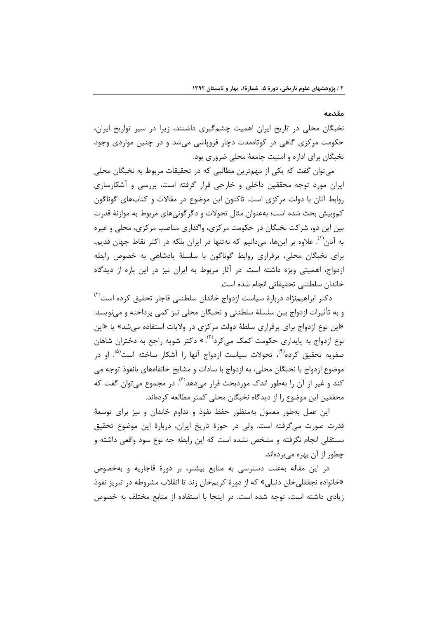### مقدمه

نخبگان محلی در تاریخ ایران اهمیت چشمگیری داشتند، زیرا در سیر تواریخ ایران، حکومت مرکزی گاهی در کوتاهمدت دچار فروپاشی میشد و در چنین مواردی وجود نخبگان برای اداره و امنیت جامعهٔ محلی ضروری بود.

می توان گفت که یکی از مهمترین مطالبی که در تحقیقات مربوط به نخبگان محلی ایران مورد توجه محققین داخلی و خارجی قرار گرفته است، بررسی و آشکارسازی روابط آنان با دولت مرکزی است. تاکنون این موضوع در مقالات و کتابهای گوناگون کموبیش بحث شده است؛ بهعنوان مثال تحولات و دگر گونی۵های مربوط به موازنهٔ قدرت بین این دو، شرکت نخبگان در حکومت مرکزی، واگذاری مناصب مرکزی، محلی و غیره به آنان<sup>٬٬٬</sup> علاوه بر اینها، میدانیم که نهتنها در ایران بلکه در اکثر نقاط جهان قدیم، برای نخبگان محلی، برقراری روابط گوناگون با سلسلهٔ یادشاهی به خصوص رابطه ازدواج، اهمیتی ویژه داشته است. در آثار مربوط به ایران نیز در این باره از دیدگاه خاندان سلطنتي تحقيقاتي انجام شده است.

دکتر ابراهیمنژاد دربارهٔ سیاست ازدواج خاندان سلطنتی قاجا, تحقیق کرده است<sup>(۲)</sup> و به تأثيرات ازدواج بين سلسلهٔ سلطنتي و نخبگان محلي نيز كمي پرداخته و مي،نويسد: «این نوع ازدواج برای برقراری سلطهٔ دولت مرکزی در ولایات استفاده می شد» یا «این نوع ازدواج به پایداری حکومت کمک میکرد<sup>(۳)</sup>. » دکتر شوپه راجع به دختران شاهان صفویه تحقیق کرده<sup>۴۱</sup>، تحولات سیاست ازدواج آنها را آشکار ساخته است<sup>۵۵</sup>. او در موضوع ازدواج با نخبگان محلی، به ازدواج با سادات و مشایخ خانقاههای بانفوذ توجه می کند و غیر از آن را بهطور اندک موردبحث قرار می۵هد<sup>(۶)</sup>. در مجموع می¤وان گفت که محققین این موضوع را از دیدگاه نخبگان محلی کمتر مطالعه کردهاند.

این عمل بهطور معمول بهمنظور حفظ نفوذ و تداوم خاندان و نیز برای توسعهٔ قدرت صورت میگرفته است. ولی در حوزهٔ تاریخ ایران، دربارهٔ این موضوع تحقیق مستقلی انجام نگرفته و مشخص نشده است که این رابطه چه نوع سود واقعی داشته و چطور از آن بھرہ مے ہردہاند.

در این مقاله بهعلت دسترسی به منابع بیشتر، بر دورهٔ قاجاریه و بهخصوص «خانواده نجفقلی خان دنبلی» که از دورهٔ کریمخان زند تا انقلاب مشروطه در تبریز نفوذ زیادی داشته است، توجه شده است. در اینجا با استفاده از منابع مختلف به خصوص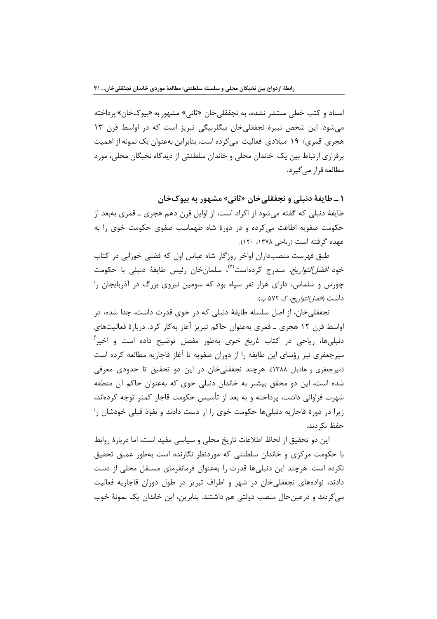اسناد و کتب خطی منتشر نشده، به نجفقلیخان «ثانی» مشهور به «بیوکخان» پرداخته می شود. این شخص نبیرهٔ نجفقلی خان بیگلربیگی تبریز است که در اواسط قرن ۱۳ هجری قمری/ ۱۹ میلادی فعالیت می کرده است، بنابراین بهعنوان یک نمونه از اهمیت برقراري ارتباط بين يک خاندان محلي و خاندان سلطنتي از ديدگاه نخبگان محلي، مورد مطالعه قرار مے گیرد.

۱ ـ طايفة دنبلي و نجفقلي خان «ثاني» مشهور به بيوكخان طايفهٔ دنبلي كه گفته مي شود از اكراد است، از اوايل قرن دهم هجري ــ قمري بهبعد از حکومت صفویه اطاعت میکرده و در دورهٔ شاه طهماسب صفوی حکومت خوی را به عهده گرفته است (رياحي ١٣٧٨، ١٢٠).

طبق فهرست منصب داران اواخر روزگار شاه عباس اول که فضلی خوزانی در کتاب خود *افضا التواريخ*، مندرج كردهاست<sup>(۷)</sup>، سلمانخان رئيس طايفهٔ دنبلي با حكومت چورس و سلماس، دارای هزار نفر سپاه بود که سومین نیروی بزرگ در آذربایجان را داشت (*افضا التواريخ*، گ ۵۷۲ ب).

نجفقلی خان، از اصل سلسله طایفهٔ دنبلی که در خوی قدرت داشت، جدا شده، در اواسط قرن ١٢ هجري ــ قمري بهعنوان حاكم تبريز آغاز بهكار كرد. دربارة فعاليتهاي دنبلیها، ریاحی در کتاب ت*اریخ خوی* بهطور مفصل توضیح داده است و اخیرا میرجعفری نیز رؤسای این طایفه را از دوران صفویه تا آغاز قاجاریه مطالعه کرده است (میرجعفری و هادیان ۱۳۸۸). هرچند نجفقلی خان در این دو تحقیق تا حدودی معرفی شده است، این دو محقق بیشتر به خاندان دنبلی خوی که بهعنوان حاکم آن منطقه شهرت فراوانی داشت، پرداخته و به بعد از تأسیس حکومت قاجار کمتر توجه کردهاند، زیرا در دورهٔ قاجاریه دنبلیها حکومت خوی را از دست دادند و نفوذ قبلی خودشان را حفظ نکردند.

این دو تحقیق از لحاظ اطلاعات تاریخ محلی و سیاسی مفید است، اما دربارهٔ روابط با حکومت مرکزی و خاندان سلطنتی که موردنظر نگارنده است بهطور عمیق تحقیق نکرده است. هرچند این دنبلیها قدرت را بهعنوان فرمانفرمای مستقل محلی از دست دادند، نوادههای نجفقلی خان در شهر و اطراف تبریز در طول دوران قاجاریه فعالیت می کردند و درعینحال منصب دولتی هم داشتند. بنابرین، این خاندان یک نمونهٔ خوب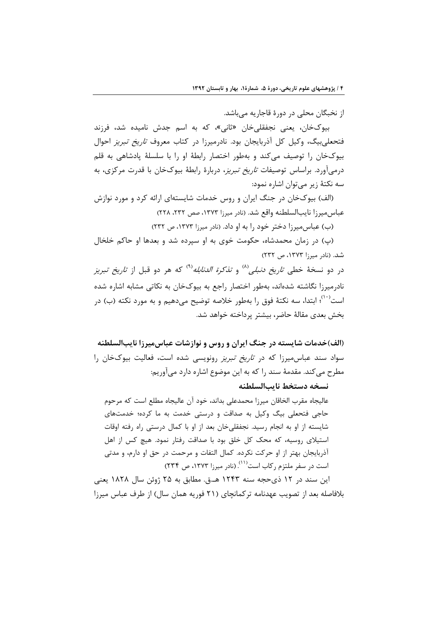از نخبگان محلی در دورهٔ قاجاریه میباشد.

بیوکخان، یعنی نجفقلی خان «ثانی»، که به اسم جدش نامیده شد، فرزند فتحعلیبیگ، وکیل کل آذربایجان بود. نادرمیرزا در کتاب معروف *تاریخ تبریز* احوال بیوکخان را توصیف میکند و بهطور اختصار رابطهٔ او را با سلسلهٔ پادشاهی به قلم درمی آورد. براساس توصیفات *تاریخ تبریز*، دربارهٔ رابطهٔ بیوکخان با قدرت مرکزی، به سه نکتهٔ زیر مے توان اشاره نمود:

(الف) بیوکخان در جنگ ایران و روس خدمات شایستهای ارائه کرد و مورد نوازش عباس میرزا نایبالسلطنه واقع شد. (نادر میرزا ۱۳۷۳، صص ۲۳۲، ۲۲۸)

(ب) عباس میرزا دختر خود را به او داد. (نادر میرزا ۱۳۷۳، ص ۲۳۲)

(پ) در زمان محمدشاه، حکومت خوی به او سپرده شد و بعدها او حاکم خلخال شد. (نادر میرزا ۱۳۷۳، ص ۲۳۲)

در دو نسخهٔ خطی *تاریخ دنبلی<sup>۸۱</sup>) و تذکرة الدنابله*<sup>۹۱)</sup> که هر دو قبل از *تاریخ تبریز* نادرمیرزا نگاشته شدهاند، بهطور اختصار راجع به بیوکخان به نکاتی مشابه اشاره شده است<sup>٬۰۰</sup>؛ ابتدا، سه نکتهٔ فوق را بهطور خلاصه توضیح میدهیم و به مورد نکته (ب) در بخش بعدي مقالهٔ حاضر، بیشتر پرداخته خواهد شد.

(الف)خدمات شایسته در جنگ ایران و روس و نوازشات عباس میرزا نایبالسلطنه سواد سند عباس میرزا که در ت*اریخ تبریز* رونویسی شده است، فعالیت بیوکخان ,ا مطرح می کند. مقدمهٔ سند را که به این موضوع اشاره دارد میآوریم:

نسخه دستخط ناببالسلطنه

عالیجاه مقرب الخاقان میرزا محمدعلی بداند، خود آن عالیجاه مطلع است که مرحوم حاجی فتحعلی بیگ وکیل به صداقت و درستی خدمت به ما کرده؛ خدمتهای شایسته از او به انجام رسید. نجفقلی خان بعد از او با کمال درستی راه رفته اوقات استیلای روسیه، که محک کل خلق بود با صداقت رفتار نمود. هیچ کس از اهل آذربایجان بهتر از او حرکت نکرده. کمال التفات و مرحمت در حق او دارم، و مدتی است در سفر ملتزم رکاب است<sup>(۱۱)</sup>. (نادر میرزا ۱۳۷۳، ص ۲۳۴)

این سند در ۱۲ ذی حجه سنه ۱۲۴۳ هـ.ق. مطابق به ۲۵ ژوئن سال ۱۸۲۸ یعنی بلافاصله بعد از تصویب عهدنامه ترکمانچای (۲۱ فوریه همان سال) از طرف عباس میرزا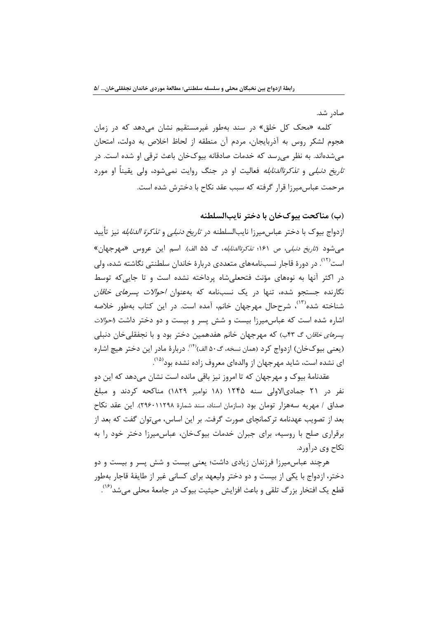صادر شد.

کلمه «محک کل خلق» در سند بهطور غیرمستقیم نشان میدهد که در زمان هجوم لشکر روس به آذربایجان، مردم آن منطقه از لحاظ اخلاص به دولت، امتحان می شدهاند. به نظر می رسد که خدمات صادقانه بیوکخان باعث ترقی او شده است. در *تاریخ دنبلی* و *تذکرةالدنابله* فعالیت او در جنگ روایت نمی شود، ولی یقیناً او مورد مرحمت عباس میرزا قرار گرفته که سبب عقد نکاح با دخترش شده است.

# (ب) مناكحت بيوكخان با دختر نايبالسلطنه

ازدواج بیوک با دختر عباسمیرزا نایبالسلطنه در *تاریخ دنبلی* و *تذکرة الدنابله* نیز تأیید می شود (*تاریخ دنبلی، ص ۱۶۱؛ تذکرةالدنابله*، گ ۵۵ الف). اسم این عروس «مهرجهان» است<sup>(۱۲)</sup>. در دورهٔ قاجار نسبنامههای متعددی دربارهٔ خاندان سلطنتی نگاشته شده، ول*ی* در اکثر آنها به نوههای مؤنث فتحعلی شاه پرداخته نشده است و تا جایی که توسط نگارنده جستجو شده، تنها در یک نسبنامه که بهعنوان *احوالات پسرهای خاقان* شناخته شده<sup>(۱۳)</sup>، شرححال مهرجهان خانم، آمده است. در این کتاب بهطور خلاصه اشاره شده است که عباس میرزا بیست و شش پسر و بیست و دو دختر داشت *(احولات پسرهای خاقان*، گ ۴۳ب) که مهرجهان خانم هفدهمین دختر بود و با نجفقلیخان دنبلی (يعني بيوكخان) ازدواج كرد (همان نسخه، گ٥٠ الف)(١٤). دربارهٔ مادر اين دختر هيچ اشاره ای نشده است، شاید مهرجهان از والدهای معروف زاده نشده بود<sup>(۱۵</sup>).

عقدنامهٔ بیوک و مهرجهان که تا امروز نیز باقی مانده است نشان می۵هد که این دو نفر در ۲۱ جمادیالاولی سنه ۱۲۴۵ (۱۸ نوامبر ۱۸۲۹) مناکحه کردند و مبلغ صداق / مهريه سههزار تومان بود (سازمان اسناد، سند شمارهٔ ۲۹۶۰۱۱۲۹۸). اين عقد نكاح بعد از تصویب عهدنامه ترکمانچای صورت گرفت. بر این اساس، می توان گفت که بعد از برقراری صلح با روسیه، برای جبران خدمات بیوکخان، عباس میرزا دختر خود را به نکاح وي درآورد.

هرچند عباس میرزا فرزندان زیادی داشت؛ یعنی بیست و شش پسر و بیست و دو دختر، ازدواج با یکی از بیست و دو دختر ولیعهد برای کسانی غیر از طایفهٔ قاجار بهطور قطع یک افتخار بزرگ تلقی و باعث افزایش حیثیت بیوک در جامعهٔ محلی میشد<sup>(۱۲)</sup>.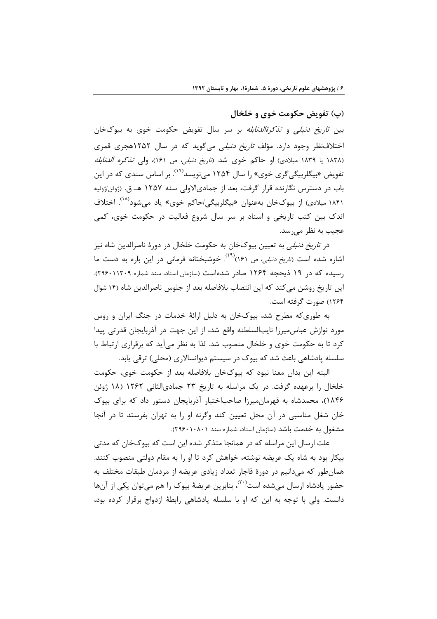(پ) تفویض حکومت خوی و خلخال

بین *تاریخ دنبلی* و *تذکرةالدنابله* بر سر سال تفویض حکومت خوی به بیوکخان اختلافنظر وجود دارد. مؤلف *تاریخ دنبلی* میگوید که در سال ۱۲۵۲هجری قمری (۱۸۳۸ یا ۱۸۳۹ میلادی) او حاکم خوی شد (*تاریخ دنبلی، ص* ۱۶۱)، ولی *تذکره الدنابله* تفویض «بیگلربیگیگری خوی» را سال ۱۲۵۴ مینویسد<sup>(۱۷)</sup>. بر اساس سندی که در این باب در دسترس نگارنده قرار گرفت، بعد از جمادیالاولی سنه ۱۲۵۷ هـ ق. (ژوئن/ژوئیه ۱۸۴۱ میلادی) از بیوکخان بهعنوان «بیگلربیگی/حاکم خوی» یاد میشود<sup>(۱۸)</sup>. اختلاف اندک بین کتب تاریخی و اسناد بر سر سال شروع فعالیت در حکومت خوی، کمی عجيب به نظر مي سد.

در *تاریخ دنبلی* به تعیین بیوکخان به حکومت خلخال در دورهٔ ناصرالدین شاه نیز اشاره شده است (*تاریخ دنبلی، ص ۱۶*۱)<sup>(۱۹)</sup>. خوشبختانه فرمانی در این باره به دست ما رسیده که در ۱۹ ذیحجه ۱۲۶۴ صادر شده است (سازمان اسناد، سند شماره ۲۹۶۰۱۱۳۰۹). این تاریخ روشن می کند که این انتصاب بلافاصله بعد از جلوس ناصرالدین شاه (۱۴ شوال ۱۲۶۴) صورت گرفته است.

به طوری که مطرح شد، بیوکخان به دلیل ارائهٔ خدمات در جنگ ایران و روس مورد نوازش عباس،میرزا نایبالسلطنه واقع شد، از این جهت در آذربایجان قدرتی پیدا کرد تا به حکومت خوی و خلخال منصوب شد. لذا به نظر می آید که برقراری ارتباط با سلسله پادشاهی باعث شد که بیوک در سیستم دیوانسالاری (محلی) ترقی یابد.

البته این بدان معنا نبود که بیوکخان بلافاصله بعد از حکومت خوی، حکومت خلخال را برعهده گرفت. در یک مراسله به تاریخ ۲۳ جمادیالثانی ۱۲۶۲ (۱۸ ژوئن ۱۸۴۶)، محمدشاه به قهرمان میرزا صاحباختیار آذربایجان دستور داد که برای بیوک خان شغل مناسبی در آن محل تعیین کند وگرنه او را به تهران بفرستد تا در آنجا مشغول به خدمت باشد (سازمان اسناد، شماره سند ۲۹۶۰۱۰۸۰۱).

علت ارسال این مراسله که در همانجا متذکر شده این است که بیوکخان که مدتی بیکار بود به شاه یک عریضه نوشته، خواهش کرد تا او را به مقام دولتی منصوب کنند. همان طور که می دانیم در دورهٔ قاجار تعداد زیادی عریضه از مردمان طبقات مختلف به حضور یادشاه ارسال می شده است<sup>(۲۰)</sup>، بنابرین عریضهٔ بیوک را هم می توان یکی از آنها دانست. ولي با توجه به اين كه او با سلسله پادشاهي رابطهٔ ازدواج برقرار كرده بود،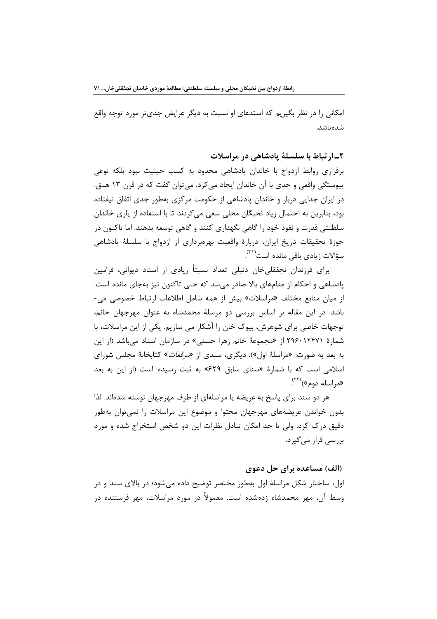امکانی را در نظر بگیریم که استدعای او نسبت به دیگر عرایض جدیتر مورد توجه واقع شده باشد.

٢ـ ارتباط با سلسلهٔ یادشاهی در مراسلات

برقراری روابط ازدواج با خاندان پادشاهی محدود به کسب حیثیت نبود بلکه نوعی پیوستگی واقعی و جدی با آن خاندان ایجاد می کرد. می توان گفت که در قرن ۱۳ هـ. در ایران جدایی دربار و خاندان یادشاهی از حکومت مرکزی بهطور جدی اتفاق نیفتاده بود، بنابرین به احتمال زیاد نخبگان محلی سعی می کردند تا با استفاده از پاری خاندان سلطنتي قدرت و نفوذ خود را گاهي نگهداري كنند و گاهي توسعه بدهند. اما تاكنون در حوزهٔ تحقیقات تاریخ ایران، دربارهٔ واقعیت بهرهبرداری از ازدواج با سلسلهٔ پادشاهی سؤالات زيادي باقي مانده است<sup>(۳۱)</sup>.

برای فرزندان نجفقلی خان دنبلی تعداد نسبتاً زیادی از اسناد دیوانی، فرامین پادشاهی و احکام از مقامهای بالا صادر میشد که حتی تاکنون نیز بهجای مانده است. از میان منابع مختلف «مراسلات» بیش از همه شامل اطلاعات ارتباط خصوصی می-باشد. در این مقاله بر اساس بررسی دو مرسلهٔ محمدشاه به عنوان مهرجهان خانم، توجهات خاصی برای شوهرش، بیوک خان را آشکار می سازیم. یکی از این مراسلات، با شمارهٔ ۲۹۶۰۱۲۴۷۱ از «مجموعهٔ خانم زهرا حسنی» در سازمان اسناد میباشد (از این به بعد به صورت: «مراسلهٔ اول»). دیگری، سندی از «*مرقعات*» کتابخانهٔ مجلس شورای اسلامی است که با شمارهٔ «سنای سابق ۶۲۹» به ثبت رسیده است (از این به بعد «مراسله دوم»)<sup>(۲۲)</sup>.

هر دو سند برای پاسخ به عریضه یا مراسلهای از طرف مهرجهان نوشته شدهاند. لذا بدون خواندن عریضههای مهرجهان محتوا و موضوع این مراسلات را نمیتوان بهطور دقیق درک کرد. ولی تا حد امکان تبادل نظرات این دو شخص استخراج شده و مورد بررسے قرار مے گیرد.

(الف) مساعده برای حل دعوی

اول، ساختار شکل مراسلهٔ اول بهطور مختصر توضیح داده می شود؛ در بالای سند و در وسط آن، مهر محمدشاه زدهشده است. معمولاً در مورد مراسلات، مهر فرستنده در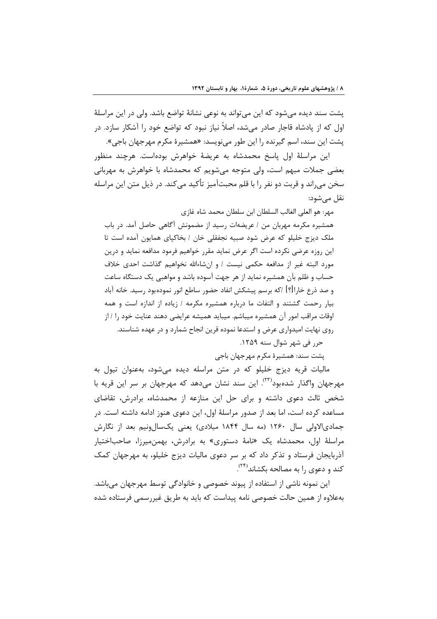پشت سند دیده میشود که این می¤واند به نوعی نشانهٔ تواضع باشد. ولی در این مراسلهٔ اول که از یادشاه قاجار صادر می شد، اصلاً نیاز نبود که تواضع خود را آشکار سازد. در پشت این سند، اسم گیرنده را این طور مینویسد: «همشیرهٔ مکرم مهرجهان باجی».

این مراسلهٔ اول پاسخ محمدشاه به عریضهٔ خواهرش بودهاست. هرچند منظور بعضی جملات مبهم است، ولی متوجه می شویم که محمدشاه با خواهرش به مهربانی سخن می،راند و قربت دو نفر ٫۱ با قلم محبتآمیز ِ تأکید می کند. در ذیل متن این مراسله نقل مي شود:

مهر: هو العلي الغالب السلطان ابن سلطان محمد شاه غازي

همشیره مکرمه مهربان من / عریضهات رسید از مضمونش آگاهی حاصل آمد. در باب ملک دیزج خلیلو که عرض شود صبیه نجفقلی خان / بخاکیای همایون آمده است تا این روزه عرضی نکرده است اگر عرض نماید مقرر خواهیم فرمود مدافعه نماید و درین مورد البته غير از مدافعه حكمي نيست / و انشاءالله نخواهيم گذاشت احدى خلاف حساب و ظلم بآن همشیره نماید از هر جهت آسوده باشد و مواهبی یک دستگاه ساعت و صد ذرع خاراً!؟] /كه برسم پیشكش انفاد حضور ساطع انور نمودهبود رسید. خانه آباد بیار رحمت گشتند و التفات ما درباره همشیره مکرمه / زیاده از اندازه است و همه اوقات مراقب امور آن همشیره میباشم. میباید همیشه عرایضی دهند عنایت خود را / از روی نهایت امیدواری عرض و استدعا نموده قرین انجاح شمارد و در عهده شناسند. حرر في شهر شوال سنه ١٢٥٩.

پشت سند: همشیرهٔ مکرم مهرجهان باجی

مالیات قریه دیزج خلیلو که در متن مراسله دیده میشود، بهعنوان تیول به مهرجهان واگذار شدهبود<sup>(۳۳)</sup>. این سند نشان می۵هد که مهرجهان بر سر این قریه با شخص ثالث دعوی داشته و برای حل این منازعه از محمدشاه، برادرش، تقاضای مساعده کرده است، اما بعد از صدور مراسلهٔ اول، این دعوی هنوز ادامه داشته است. در جمادیالاولی سال ۱۲۶۰ (مه سال ۱۸۴۴ میلادی) یعنی یکسالونیم بعد از نگارش مراسلهٔ اول، محمدشاه یک «نامهٔ دستوری» به برادرش، بهمنمیرزا، صاحباختیار آذربایجان فرستاد و تذکر داد که بر سر دعوی مالیات دیزج خلیلو، به مهرجهان کمک کند و دعوی را به مصالحه بکشاند<sup>(۲۲)</sup>.

این نمونه ناشی از استفاده از پیوند خصوصی و خانوادگی توسط مهرجهان می باشد. بهعلاوه از همین حالت خصوصی نامه پیداست که باید به طریق غیررسمی فرستاده شده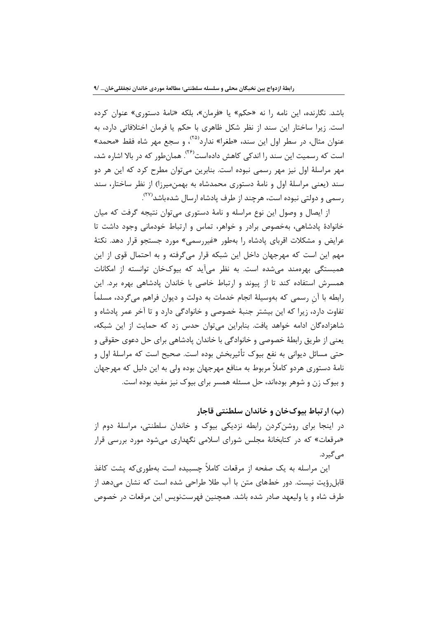باشد. نگارنده، این نامه را نه «حکم» یا «فرمان»، بلکه «نامهٔ دستوری» عنوان کرده است. زیرا ساختار این سند از نظر شکل ظاهری با حکم یا فرمان اختلافاتی دارد، به عنوان مثال، در سطر اول این سند، «طغرا» ندارد<sup>(۲۵)</sup>، و سجع مهر شاه فقط «محمد» است که <sub>د</sub>سمیت این سند را اندکی کاهش دادهاست<sup>(۲۶</sup>). همانطور که در بالا اشاره شد، مهر مراسلهٔ اول نیز مهر رسمی نبوده است. بنابرین می توان مطرح کرد که این هر دو سند (یعنی مراسلهٔ اول و نامهٔ دستوری محمدشاه به بهمنمیرزا) از نظر ساختار، سند رسمی و دولتی نبوده است، هرچند از طرف پادشاه ارسال شدهباشد<sup>(۲۷)</sup>.

از ایصال و وصول این نوع مراسله و نامهٔ دستوری می توان نتیجه گرفت که میان خانوادهٔ پادشاهی، بهخصوص برادر و خواهر، تماس و ارتباط خودمانی وجود داشت تا عرایض و مشکلات اقربای پادشاه را بهطور «غیررسمی» مورد جستجو قرار دهد. نکتهٔ مهم این است که مهرجهان داخل این شبکه قرار می گرفته و به احتمال قوی از این همبستگی بهرهمند می شده است. به نظر می آید که بیوکخان توانسته از امکانات همسرش استفاده کند تا از پیوند و ارتباط خاصی با خاندان پادشاهی بهره برد. این رابطه با آن رسمی که بهوسیلهٔ انجام خدمات به دولت و دیوان فراهم میگردد، مسلماً تفاوت دارد، زیرا که این بیشتر جنبهٔ خصوصی و خانوادگی دارد و تا آخر عمر یادشاه و شاهزادهگان ادامه خواهد یافت. بنابراین میتوان حدس زد که حمایت از این شبکه، يعني از طريق رابطهٔ خصوصي و خانوادگي با خاندان پادشاهي براي حل دعوي حقوقي و حتے مسائل دیوانی به نفع بیوک تأثیربخش بوده است. صحیح است که مراسلهٔ اول و نامهٔ دستوری هردو کاملاً مربوط به منافع مهرجهان بوده ولی به این دلیل که مهرجهان و بیوک زن و شوهر بودهاند، حل مسئله همسر برای بیوک نیز مفید بوده است.

(ب) ارتباط بیوکخان و خاندان سلطنتی قاجار

در اینجا برای روشن کردن رابطه نزدیکی بیوک و خاندان سلطنتی، مراسلهٔ دوم از «مرقعات» که در کتابخانهٔ مجلس شورای اسلامی نگهداری می شود مورد بررسی قرار مے گیر د.

این مراسله به یک صفحه از مرقعات کاملاً چسبیده است بهطوریکه پشت کاغذ قابل٫ؤیت نیست. دو٫ خطهای متن با آب طلا طراحی شده است که نشان می٬دهد از طرف شاه و یا ولیعهد صادر شده باشد. همچنین فهرستنویس این مرقعات در خصوص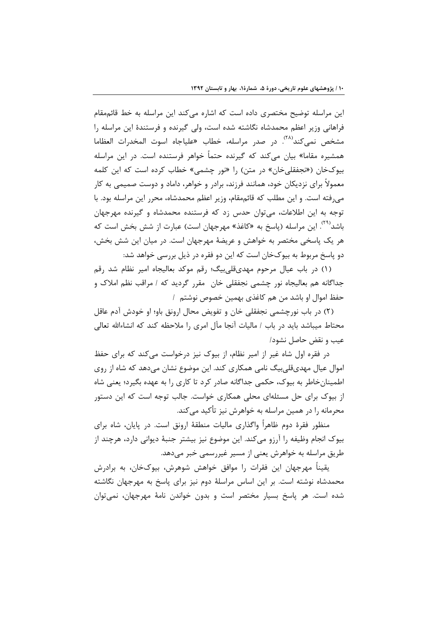این مراسله توضیح مختصری داده است که اشاره میکند این مراسله به خط قائممقام فراهانی وزیر اعظم محمدشاه نگاشته شده است، ولی گیرنده و فرستندهٔ این مراسله را مشخص نمىكند<sup>۲۸)</sup>. در صدر مراسله، خطاب «علياجاه اسوت المخدرات العظاما همشیره مقاما» بیان میکند که گیرنده حتماً خواهر فرستنده است. در این مراسله بیوکخان («نجفقلیخان» در متن) را «نور چشمی» خطاب کرده است که این کلمه معمولاً برای نزدیکان خود، همانند فرزند، برادر و خواهر، داماد و دوست صمیمی به کار می رفته است. و این مطلب که قائممقام، وزیر اعظم محمدشاه، محرر این مراسله بود. با توجه به این اطلاعات، می توان حدس زد که فرستنده محمدشاه و گیرنده مهرجهان باشد<sup>(۲۹)</sup>. این مراسله (پاسخ به «کاغذ» مهرجهان است) عبارت از شش بخش است که هر یک پاسخی مختصر به خواهش و عریضهٔ مهرجهان است. در میان این شش بخش، دو پاسخ مربوط به بیوکخان است که این دو فقره در ذیل بررسی خواهد شد:

(۱) در باب عيال مرحوم مهديقلي بيگ؛ رقم موكد بعاليجاه امير نظام شد رقم جداگانه هم بعالیجاه نور چشمی نجفقلی خان ًمقرر گردید که / مراقب نظم املاک و حفظ اموال او باشد من هم كاغذى بهمين خصوص نوشتم ١

(٢) در باب نورچشمی نجفقلی خان و تفویض محال ارونق باو؛ او خودش آدم عاقل محتاط میباشد باید در باب / مالیات آنجا مآل امری را ملاحظه کند که انشاءالله تعالی عيب و نقض حاصل نشود/

در فقره اول شاه غیر از امیر نظام، از بیوک نیز درخواست می کند که برای حفظ اموال عیال مهدیقلی،بیگ نامی همکاری کند. این موضوع نشان میدهد که شاه از روی اطمینان خاطر به بیوک، حکمی جداگانه صادر کرد تا کاری را به عهده بگیرد؛ یعنی شاه از بیوک برای حل مسئلهای محلی همکاری خواست. جالب توجه است که این دستور محرمانه را در همین مراسله به خواهرش نیز تأکید میکند.

منظور فقرهٔ دوم ظاهراً واگذاری مالیات منطقهٔ ارونق است. در پایان، شاه برای بیوک انجام وظیفه را آرزو میکند. این موضوع نیز بیشتر جنبهٔ دیوانی دارد، هرچند از طریق مراسله به خواهرش یعنی از مسیر غیررسمی خبر میدهد.

یقیناً مهرجهان این فقرات را موافق خواهش شوهرش، بیوکخان، به برادرش محمدشاه نوشته است. بر این اساس مراسلهٔ دوم نیز برای پاسخ به مهرجهان نگاشته شده است. هر پاسخ بسیار مختصر است و بدون خواندن نامهٔ مهرجهان، نمی توان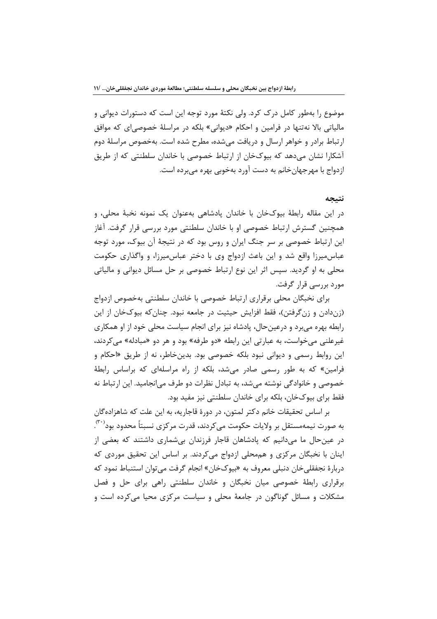موضوع را بهطور کامل درک کرد. ولی نکتهٔ مورد توجه این است که دستورات دیوانی و مالیاتی بالا نەتنها در فرامین و احکام «دیوانی» بلکه در مراسلهٔ خصوصی|ی که موافق ارتباط برادر و خواهر ارسال و دریافت می شده، مطرح شده است. بهخصوص مراسلهٔ دوم آشکارا نشان میدهد که بیوکخان از ارتباط خصوصی با خاندان سلطنتی که از طریق ازدواج با مهرجهان خانم به دست آورد بهخوبی بهره می برده است.

### نتيجه

در اين مقاله رابطهٔ بيوکخان با خاندان يادشاهي بهعنوان يک نمونه نخبهٔ محلي، و همچنین گسترش ارتباط خصوصی او با خاندان سلطنتی مورد بررسی قرار گرفت. آغاز این ارتباط خصوصی بر سر جنگ ایران و روس بود که در نتیجهٔ آن بیوک، مورد توجه عباس میرزا واقع شد و این باعث ازدواج وی با دختر عباس میرزا، و واگذاری حکومت محلي به او گرديد. سپس اثر اين نوع ارتباط خصوصي بر حل مسائل ديواني و مالياتي مورد بررسی قرار گرفت.

برای نخبگان محلی برقراری ارتباط خصوصی با خاندان سلطنتی بهخصوص ازدواج (زندادن و زنگرفتن)، فقط افزایش حیثیت در جامعه نبود. چنان که بیوکخان از این رابطه بهره می برد و درعین حال، پادشاه نیز برای انجام سیاست محلی خود از او همکاری غیرعلنی میخواست، به عبارتی این رابطه «دو طرفه» بود و هر دو «مبادله» می کردند، این روابط رسمی و دیوانی نبود بلکه خصوصی بود. بدینخاطر، نه از طریق «احکام و فرامین» که به طور رسمی صادر می شد، بلکه از راه مراسلهای که براساس رابطهٔ خصوصی و خانوادگی نوشته میشد، به تبادل نظرات دو طرف میانجامید. این ارتباط نه فقط برای بیوکخان، بلکه برای خاندان سلطنتی نیز مفید بود.

بر اساس تحقیقات خانم دکتر لمتون، در دورهٔ قاجاریه، به این علت که شاهزادهگان به صورت نیمهمستقل بر ولایات حکومت میکردند، قدرت مرکزی نسبتاً محدود بود $\cdot^{\text{\tiny{}}},$ در عینحال ما میدانیم که یادشاهان قاجار فرزندان بی شماری داشتند که بعضی از اینان با نخبگان مرکزی و هممحلی ازدواج میکردند. بر اساس این تحقیق موردی که دربارهٔ نجفقلی خان دنبلی معروف به «بیوکخان» انجام گرفت می توان استنباط نمود که برقراری رابطهٔ خصوصی میان نخبگان و خاندان سلطنتی راهی برای حل و فصل مشکلات و مسائل گوناگون در جامعهٔ محلی و سیاست مرکزی محیا می کرده است و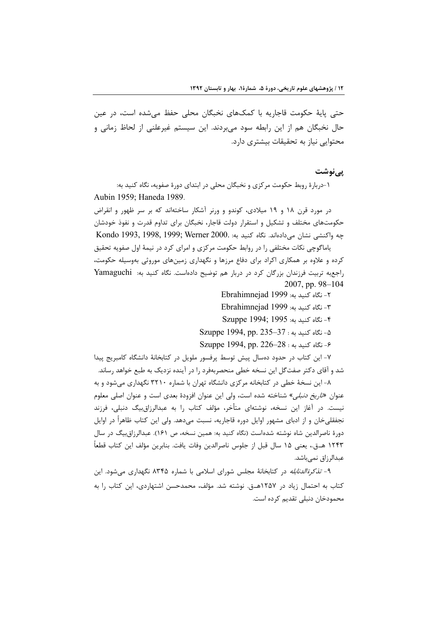حتی پایهٔ حکومت قاجاریه با کمکهای نخبگان محلی حفظ میشده است، در عین حال نخبگان هم از این رابطه سود می بردند. این سیستم غیرعلنی از لحاظ زمانی و محتوایی نیاز به تحقیقات بیشتری دارد.

## پينوشت

۱-دربارهٔ روبط حکومت مرکزی و نخبگان محلی در ابتدای دورهٔ صفویه، نگاه کنید به: Aubin 1959; Haneda 1989.

در مورد قرن ۱۸ و ۱۹ میلادی، کوندو و ورنر آشکار ساختهاند که بر سر ظهور و انقراض حکومتهای مختلف و تشکیل و استقرار دولت قاجار، نخبگان برای تداوم قدرت و نفوذ خودشان جه واكنشى نشان مى دادهاند. نگاه كنيد به: Kondo 1993, 1998, 1999; Werner 2000. یاماگوچی نکات مختلفی را در روابط حکومت مرکزی و امرای کرد در نیمهٔ اول صفویه تحقیق کرده و علاوه بر همکاری اکراد برای دفاع مرزها و نگهداری زمینهای موروثی بهوسیله حکومت، راجع به تربیت فرزندان بزرگان کرد در دربار هم توضیح دادهاست. نگاه کنید به: Yamaguchi 2007, pp. 98-104

- ٢- نگاه كنيد به: Ebrahimnejad 1999 ۳- نگاه کنید به: Ebrahimnejad 1999
- ۴- نگاه کنيد به: 1995 ;Szuppe 1994
- ۵- نگاه کنید به: Szuppe 1994, pp. 235–37
- ۶- نگاه کنید به: Szuppe 1994, pp. 226-28

۷- این کتاب در حدود دهسال پیش توسط پرفسور ملویل در کتابخانهٔ دانشگاه کامبریج پیدا شد و آقای دکتر صفتگل این نسخه خطی منحصربهفرد را در آینده نزدیک به طبع خواهد رساند.

۸- این نسخهٔ خطی در کتابخانه مرکزی دانشگاه تهران با شماره ۳۲۱۰ نگهداری می شود و به عنوان «*تاريخ دنبلي»* شناخته شده است، ولي اين عنوان افزودهٔ بعدي است و عنوان اصلي معلوم نیست. در آغاز این نسخه، نوشتهای متأخر، مؤلف کتاب را به عبدالرزاق بیگ دنبلی، فرزند نجفقلیخان و از ادبای مشهور اوایل دوره قاجاریه، نسبت میدهد. ولی این کتاب ظاهراً در اوایل دورهٔ ناصرالدین شاه نوشته شدهاست (نگاه کنید به: همین نسخه، ص ۱۶۱). عبدالرزاق بیگ در سال ١٢۴٣ هــق.، يعني ١۵ سال قبل از جلوس ناصرالدين وفات يافت. بنابرين مؤلف اين كتاب قطعاً عبدالرزاق نمی باشد.

۹- *تذکرةالدنابله* در کتابخانهٔ مجلس شورای اسلامی با شماره ۸۳۴۵ نگهداری می شود. این کتاب به احتمال زیاد در ۱۲۵۷هـق. نوشته شد. مؤلف، محمدحسن اشتهاردی، این کتاب را به محمودخان دنبلی تقدیم کرده است.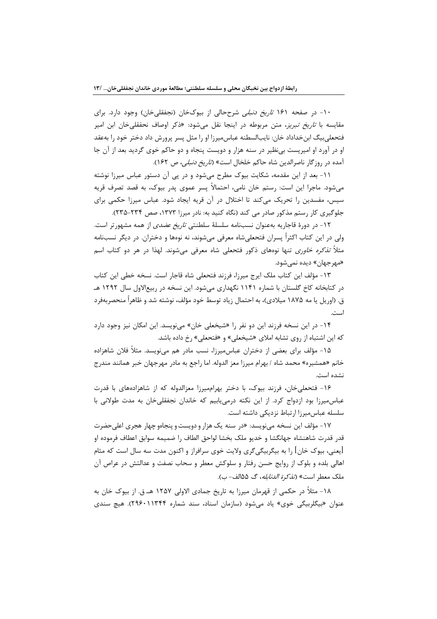۱۰- در صفحه ۱۶۱ ت*اریخ دنبلی* شرححالی از بیوکخان (نجفقلی خان) وجود دارد. برای مقایسه با *تاریخ تبریز*، متن مربوطه در اینجا نقل می شود: «ذکر اوصاف نحفقلی *خ*ان ابن امیر فتحعلي بيگ ابن خداداد خان: نايبالسطنه عباس ميرزا او را مثل پسر پرورش داد دختر خود را بهعقد او در آورد او اميريست بي نظير در سنه هزار و دويست پنجاه و دو حاكم خوى گرديد بعد از آن جا آمده در روزگار ناصرالدین شاه حاکم خلخال است» (*تاریخ دنبلی،* ص ۱۶۲).

١١- بعد از اين مقدمه، شكايت بيوك مطرح مي شود و در يي آن دستور عباس ميرزا نوشته میشود. ماجرا این است: رستم خان نامی، احتمالاً پسر عموی پدر بیوک، به قصد تصرف قریه سیس، مفسدین را تحریک می کند تا اختلال در آن قریه ایجاد شود. عباس میرزا حکمی برای جلوگیری کار رستم مذکور صادر می کند (نگاه کنید به: نادر میرزا ۱۳۷۳، صص ۲۳۴-۲۳۵).

۱۲- در دورهٔ قاجاریه بهعنوان نسبنامه سلسلهٔ سلطنتی *تاریخ عضدی* از همه مشهورتر است. ولی در این کتاب اکثراً پسران فتحعلیشاه معرفی میشوند، نه نوهها و دختران. در دیگر نسبنامه مثلاً *تذکره خاوری* تنها نوههای ذکور فتحعلی شاه معرفی میشوند. لهذا در هر دو کتاب اسم «مهر جهان» دیده نمے شود.

١٣- مؤلف اين كتاب ملك ايرج ميرزا، فرزند فتحعلي شاه قاجار است. نسخه خطى اين كتاب در کتابخانه کاخ گلستان با شماره ۱۱۴۱ نگهداری میشود. این نسخه در ربیعالاول سال ۱۲۹۲ هـ ق. (اوریل یا مه ۱۸۷۵ میلادی)، به احتمال زیاد توسط خود مؤلف، نوشته شد و ظاهراً منحصربهفرد است.

1۴- در این نسخه فرزند این دو نفر را «شیخعلی خان» می نویسد. این امکان نیز وجود دارد که این اشتباه از روی تشابه املای «شیخعلی» و «فتحعلی» رخ داده باشد.

۱۵- مؤلف برای بعضی از دختران عباس،میرزا، نسب مادر هم میiویسد. مثلاً فلان شاهزاده خانم «همشیره» محمد شاه / بهرام میرزا معز الدوله. اما راجع به مادر مهرجهان خبر همانند مندرج نشده است.

۱۶- فتحعلی خان، فرزند بیوک، با دختر بهراممیرزا معزالدوله که از شاهزادههای با قدرت عباس میرزا بود ازدواج کرد. از این نکته درمی یابیم که خاندان نجفقلی خان به مدت طولانی با سلسله عباس ميرزا ارتباط نزديكي داشته است.

۱۷- مؤلف این نسخه مینویسد: «در سنه یک هزار و دویست و پنجاهو چهار هجری اعلیحضرت قدر قدرت شاهنشاه جهانگشا و خديو ملک بخشا لواحق الطاف را ضميمه سوابق اعطاف فرموده او [یعنی، بیوک خان] را به بیگربیگیگری ولایت خوی سرافراز و اکنون مدت سه سال است که مثام اهالی بلده و بلوک از روایج حسن رفتار و سلوکش معطر و سحاب نصفت و عدالتش در عراص آن ملک معطر است» (*تذکرة الدنابله*، گ ۵۵الف- ب).

۱۸- مثلاً در حکمی از قهرمان میرزا به تاریخ جمادی الاولی ۱۲۵۷ هـ ق. از بیوک خان به عنوان «بیگلربیگی خوی» یاد می شود (سازمان اسناد، سند شماره ۲۹۶۰۱۱۳۴۴). هیچ سندی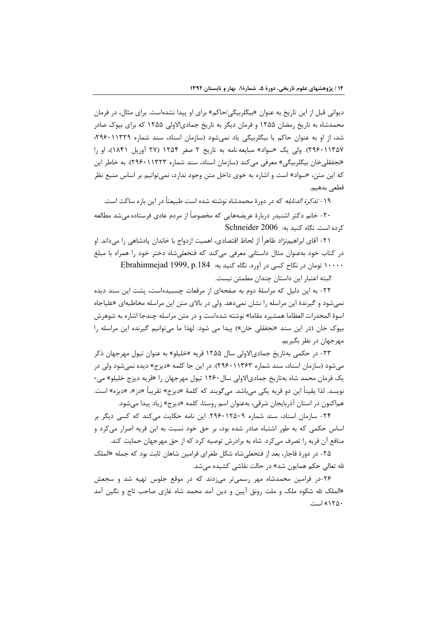دیوانی قبل از این تاریخ به عنوان «بیگلربیگی/حاکم» برای او پیدا نشدهاست. برای مثال، در فرمان محمدشاه به تاریخ رمضان ۱۲۵۵ و فرمان دیگر به تاریخ جمادیالاولی ۱۲۵۵ که برای بیوک صادر شد، از او به عنوان حاکم یا بیگلربیگی یاد نمی شود (سازمان اسناد، سند شماره ۲۹۶۰۱۱۳۲۹؛ ٢٩۶٠١١٣۵٧). ولي يک «سواد» مبايعه نامه به تاريخ ٢ صفر ١٢۵۴ (٢٧ آوريل ١٨۴١)، او را «نجفقلیخان بیگلربیگی» معرفی میکند (سازمان اسناد، سند شماره ۲۳۲۳. ۲۹۶۰). به خاطر این که این متن، «سواد» است و اشاره به خوی داخل متن وجود ندارد، نمی توانیم بر اساس منبع نظر قطعى بدهيم.

۱۹- *تذکرة الدنابله* که در دورهٔ محمدشاه نوشته شده است طبیعتاً در این باره ساکت است.

۲۰- خانم دکتر اشنیدر دربارهٔ عریضههایی که مخصوصاً از مردم عادی فرستاده می شد مطالعه کرده است. نگاه کنید به: Schneider 2006

٢١- آقاي ابراهيمنژاد ظاهراً از لحاظ اقتصادي، اهميت ازدواج با خاندان يادشاهي را ميداند. او در کتاب خود بهعنوان مثال داستانی معرفی میکند که فتحعلی شاه دختر خود را همراه با مبلغ ١٠٠٠٠ تومان در نكاح كسى در آورد. نكاه كنيد به: Ebrahimnejad 1999, p.184

البته اعتبار این داستان جندان مطمئن نیست.

٢٢- به اين دليل كه مراسلهٔ دوم به صفحهای از مرقعات چسبيدهاست، پشت اين سند ديده نمیشود و گیرندهٔ این مراسله را نشان نمیدهد. ولی در بالای متن این مراسله مخاطبهای «علیاجاه اسوهٔ المخدرات العظاما همشیره مقاما» نوشته شدهاست و در متن مراسله چندجا اشاره به شوهرش بیوک خان (در این سند «نجفقلی خان») پیدا می شود. لهذا ما میتوانیم گیرنده این مراسله را مهرجهان در نظر بگیریم.

۲۳- در حکمی بهتاریخ جمادیالاولی سال ۱۲۵۵ قریه «خلیلو» به عنوان تیول مهرجهان ذکر می شود (سازمان اسناد، سند شماره ۲۹۶۰۱۱۳۶۳). در این جا کلمه «دیزج» دیده نمی شود ولی در یک فرمان محمد شاه بهتاریخ جمادیالاولی سال ۱۲۶۰ تیول مهرجهان را «قریه دیزج خلیلو» می-نويسد. لذا يقيناً اين دو قريه يكي ميباشد. مي گويند كه كلمهٔ «ديزج» تقريباً «دز»، «ديزه» است. هماكنون در استان آذربايجان شرقي، بهعنوان اسم روستا، كلمه «ديزج» زياد پيدا مي شود.

٢۴- سازمان اسناد، سند شماره ٢٩٤٠١٢٥٠٩. اين نامه حكايت مي كند كه كسي ديگر بر اساس حکمی که به طور اشتباه صادر شده بود، بر حق خود نسبت به این قریه اصرار میکرد و منافع آن قریه را تصرف می کرد. شاه به برادرش توصیه کرد که از حق مهرجهان حمایت کند.

۲۵- در دورهٔ قاجار، بعد از فتحعلیشاه شکل طغرای فرامین شاهان ثابت بود که جمله «الملک لله تعالى حكم همايون شد» در حالت نقاشي كشيده مي شد.

۲۶-در فرامین محمدشاه مهر رسمیتر میزدند که در موقع جلوس تهیه شد و سجعش «الملک لله شکوه ملک و ملت رونق آیین و دین آمد محمد شاه غازی صاحب تاج و نگین آمد ۱۲۵۰» است.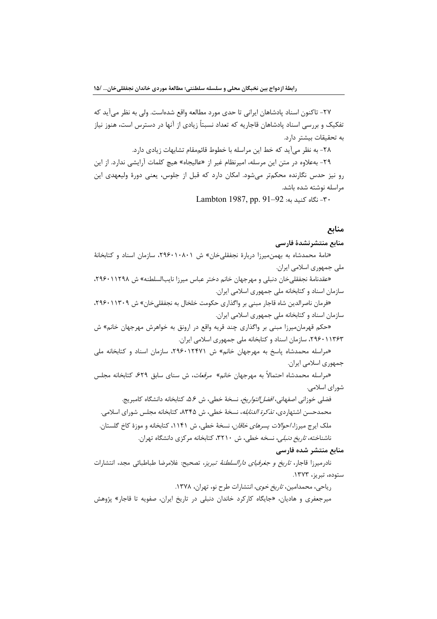٢٧- تاكنون اسناد پادشاهان ايراني تا حدي مورد مطالعه واقع شدهاست. ولي به نظر مي آيد كه تفکیک و بررسی اسناد یادشاهان قاجاریه که تعداد نسبتاً زیادی از آنها در دسترس است، هنوز نیاز به تحقیقات بیشتر دارد.

٢٨- به نظر ميآيد كه خط اين مراسله با خطوط قائممقام تشابهات زيادي دارد.

٢٩- به علاوه در متن اين مرسله، اميرنظام غير از «عاليجاه» هيچ كلمات آرايشي ندارد. از اين رو نیز حدس نگارنده محکمتر میشود. امکان دارد که قبل از جلوس، یعنی دورهٔ ولیعهدی این مراسله نوشته شده باشد.

-۳۰- نگاه کنید به: 92-91 Lambton 1987, pp. 91-

## منابع

### منابع منتشرنشدة فارسى

«نامهٔ محمدشاه به بهمن میرزا دربارهٔ نجفقلی خان» ش ۲۹۶۰۱۰۸۰۱، سازمان اسناد و کتابخانهٔ ملي جمهوري اسلامي ايران.

«عقدنامهٔ نجفقلیخان دنبلی و مهرجهان خانم دختر عباس میرزا نایبالسلطنه» ش ۲۹۶۰۱۱۲۹۸، سازمان اسناد و کتابخانه ملی جمهوری اسلامی ایران.

«فرمان ناصرالدین شاه قاجار مبنی بر واگذاری حکومت خلخال به نجفقلی خان» ش ۲۹۶۰۱۱۳۰۹، سازمان اسناد و کتابخانه ملی جمهوری اسلامی ایران.

«حکم قهرمان میرزا مبنی بر واگذاری چند قریه واقع در ارونق به خواهرش مهرجهان خانم» ش ۲۹۶۰۱۱۳۶۳، سازمان اسناد و کتابخانه ملی جمهوری اسلامی ایران.

«مراسله محمدشاه پاسخ به مهرجهان خانم» ش ۱۲۴۷۱٬۲۹۶۰، سازمان اسناد و کتابخانه ملی جمهوري اسلامي ايران.

«مراسله محمدشاه احتمالاً به مهرجهان خانم» مر*قعات*، ش سنای سابق ۶۲۹، کتابخانه مجلس شورای اسلامی.

فضلي خوزاني اصفهاني، *افضل التواريخ،* نسخة خطي، ش ۵.۶، كتابخانه دانشگاه كامبريج. محمدحسن اشتهاردی، *تذکرة الدنابله*، نسخهٔ خطی، ش ۸۳۴۵، کتابخانه مجلس شورای اسلامی. ملک ایرج میرزا، *احوالات پسرهای خاقان*، نسخهٔ خطی، ش ۱۱۴۱، کتابخانه و موزهٔ کاخ گلستان. ناشناخته، *تاریخ دنبلی،* نسخه خطی، ش ۳۲۱۰، کتابخانه مرکزی دانشگاه تهران.

### منابع منتشر شده فارسى

نادرمیرزا قاجار، *تاریخ و جغرفیای دارالسلطنهٔ تبریز*، تصحیح: غلامرضا طباطبائی مجد، انتشارات ستوده، تبریز، ۱۳۷۳.

ریاحی، محمدامین، *تاریخ خوی*، انتشارات طرح نو، تهران، ۱۳۷۸.

میرجعفری و هادیان، «جایگاه کارکرد خاندان دنبلی در تاریخ ایران، صفویه تا قاجار» پژوهش